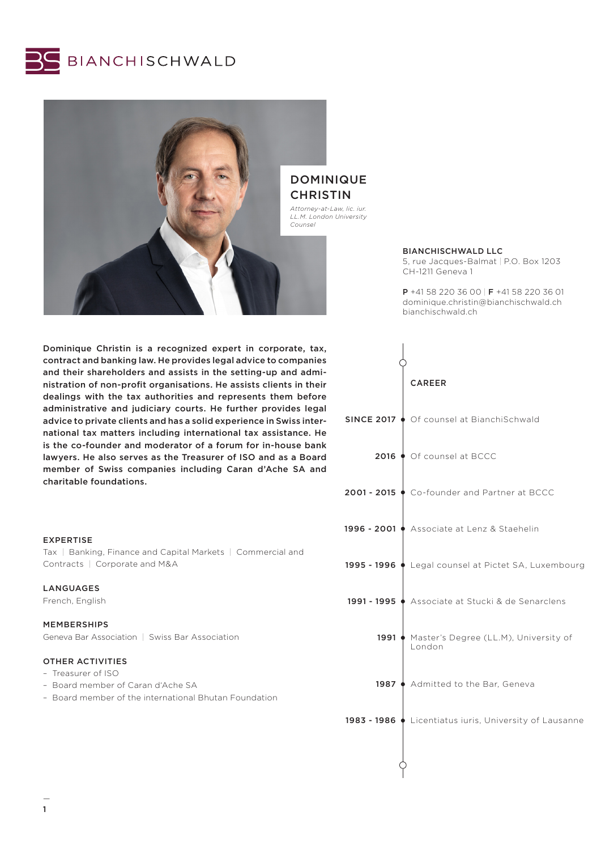



Dominique Christin is a recognized expert in corporate, tax, contract and banking law. He provides legal advice to companies and their shareholders and assists in the setting-up and administration of non-profit organisations. He assists clients in their dealings with the tax authorities and represents them before administrative and judiciary courts. He further provides legal advice to private clients and has a solid experience in Swiss international tax matters including international tax assistance. He is the co-founder and moderator of a forum for in-house bank lawyers. He also serves as the Treasurer of ISO and as a Board member of Swiss companies including Caran d'Ache SA and charitable foundations.

# EXPERTISE

Tax | Banking, Finance and Capital Markets | Commercial and Contracts | Corporate and M&A

### LANGUAGES

French, English

# MEMBERSHIPS

Geneva Bar Association | Swiss Bar Association

# OTHER ACTIVITIES

- Treasurer of ISO
- Board member of Caran d'Ache SA
- Board member of the international Bhutan Foundation

# DOMINIQUE **CHRISTIN**

*Attorney-at-Law, lic. iur. LL.M. London University*

### BIANCHISCHWALD LLC

5, rue Jacques-Balmat | P.O. Box 1203 CH-1211 Geneva 1

P +41 58 220 36 00 | F +41 58 220 36 01 dominique.christin@bianchischwald.ch bianchischwald.ch

|                   | <b>CAREER</b>                                           |
|-------------------|---------------------------------------------------------|
| <b>SINCE 2017</b> | ♦ Of counsel at BianchiSchwald                          |
|                   | 2016 ♦ Of counsel at BCCC                               |
|                   | 2001 - 2015 ♦ Co-founder and Partner at BCCC            |
|                   | 1996 - 2001 ♦ Associate at Lenz & Staehelin             |
|                   | 1995 - 1996   Legal counsel at Pictet SA, Luxembourg    |
| 1991 - 1995 (     | Associate at Stucki & de Senarclens                     |
| 1991              | Master's Degree (LL.M), University of<br>London         |
|                   | 1987 ♦ Admitted to the Bar, Geneva                      |
|                   | 1983 - 1986 ♦ Licentiatus iuris, University of Lausanne |
|                   |                                                         |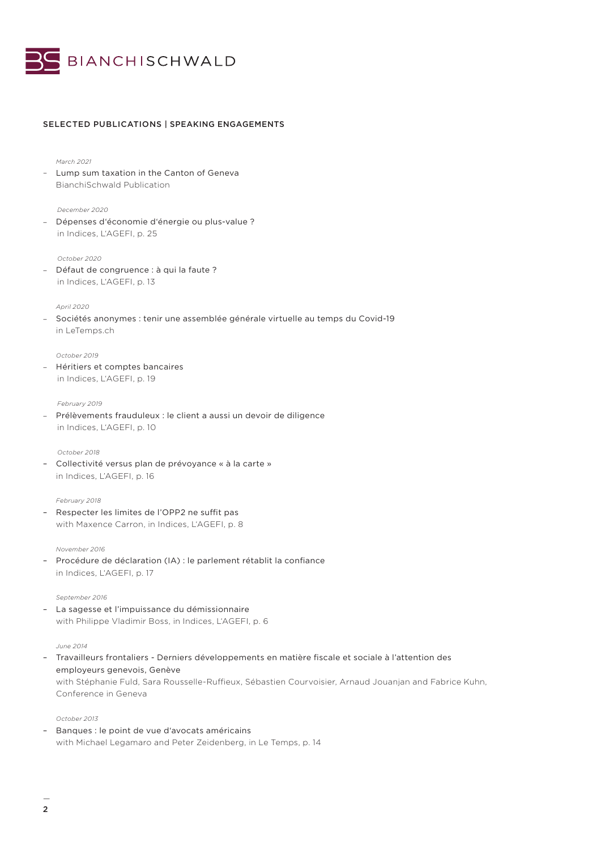

# SELECTED PUBLICATIONS | SPEAKING ENGAGEMENTS

### *March 2021*

– Lump sum taxation in the Canton of Geneva BianchiSchwald Publication

## *December 2020*

– Dépenses d'économie d'énergie ou plus-value ? in Indices, L'AGEFI, p. 25

### *October 2020*

– Défaut de congruence : à qui la faute ? in Indices, L'AGEFI, p. 13

# *April 2020*

– Sociétés anonymes : tenir une assemblée générale virtuelle au temps du Covid-19 in LeTemps.ch

#### *October 2019*

– Héritiers et comptes bancaires in Indices, L'AGEFI, p. 19

#### *February 2019*

– Prélèvements frauduleux : le client a aussi un devoir de diligence in Indices, L'AGEFI, p. 10

#### *October 2018*

– Collectivité versus plan de prévoyance « à la carte » in Indices, L'AGEFI, p. 16

#### *February 2018*

– Respecter les limites de l'OPP2 ne suffit pas with Maxence Carron, in Indices, L'AGEFI, p. 8

### *November 2016*

– Procédure de déclaration (IA) : le parlement rétablit la confiance in Indices, L'AGEFI, p. 17

### *September 2016*

– La sagesse et l'impuissance du démissionnaire with Philippe Vladimir Boss, in Indices, L'AGEFI, p. 6

#### *June 2014*

– Travailleurs frontaliers - Derniers développements en matière fiscale et sociale à l'attention des employeurs genevois, Genève with Stéphanie Fuld, Sara Rousselle-Ruffieux, Sébastien Courvoisier, Arnaud Jouanjan and Fabrice Kuhn, Conference in Geneva

*October 2013*

– Banques : le point de vue d'avocats américains with Michael Legamaro and Peter Zeidenberg, in Le Temps, p. 14